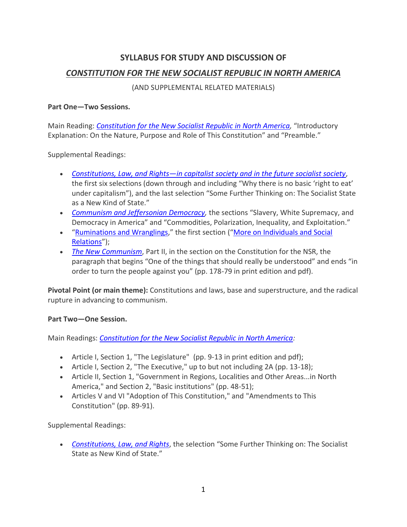# **SYLLABUS FOR STUDY AND DISCUSSION OF** *[CONSTITUTION FOR THE NEW SOCIALIST REPUBLIC IN NORTH AMERICA](http://thebobavakianinstitute.org/wp-content/uploads/2017/08/SocialistConstitution-en.pdf)*

(AND SUPPLEMENTAL RELATED MATERIALS)

#### **Part One—Two Sessions.**

Main Reading: *[Constitution for the New Socialist Republic in North America,](http://thebobavakianinstitute.org/wp-content/uploads/2017/08/SocialistConstitution-en.pdf)* "Introductory Explanation: On the Nature, Purpose and Role of This Constitution" and "Preamble."

Supplemental Readings:

- *Constitutions, Law, and Rights—[in capitalist society and in the future socialist society](http://thebobavakianinstitute.org/wp-content/uploads/2015/04/Constitution-Law-and-Rights.pdf)*, the first six selections (down through and including "Why there is no basic 'right to eat' under capitalism"), and the last selection "Some Further Thinking on: The Socialist State as a New Kind of State."
- *[Communism and Jeffersonian Democracy,](http://revcom.us/Comm_JeffDem/Jeffersonian_Democracy.html)* the sections "Slavery, White Supremacy, and Democracy in America" and "Commodities, Polarization, Inequality, and Exploitation."
- "[Ruminations and Wranglings](http://revcom.us/avakian/ruminations/BA-ruminations-en.html)," the first section ("[More on Individuals and Social](http://revcom.us/avakian/ruminations/BA-ruminations-en.html#toc01)  [Relations](http://revcom.us/avakian/ruminations/BA-ruminations-en.html#toc01)");
- *[The New Communism](http://thebobavakianinstitute.org/wp-content/uploads/2017/08/bob-avakian_the-new-commmunism.pdf)*, Part II, in the section on the Constitution for the NSR, the paragraph that begins "One of the things that should really be understood" and ends "in order to turn the people against you" (pp. 178-79 in print edition and pdf).

**Pivotal Point (or main theme):** Constitutions and laws, base and superstructure, and the radical rupture in advancing to communism.

#### **Part Two—One Session.**

Main Readings: *[Constitution for the New Socialist Republic in North America:](http://thebobavakianinstitute.org/wp-content/uploads/2017/08/SocialistConstitution-en.pdf)*

- Article I, Section 1, "The Legislature" (pp. 9-13 in print edition and pdf);
- Article I, Section 2, "The Executive," up to but not including 2A (pp. 13-18);
- Article II, Section 1, "Government in Regions, Localities and Other Areas...in North America," and Section 2, "Basic institutions" (pp. 48-51);
- Articles V and VI "Adoption of This Constitution," and "Amendments to This Constitution" (pp. 89-91).

Supplemental Readings:

• *[Constitutions, Law, and Rights](http://thebobavakianinstitute.org/wp-content/uploads/2015/04/Constitution-Law-and-Rights.pdf)*, the selection "Some Further Thinking on: The Socialist State as New Kind of State."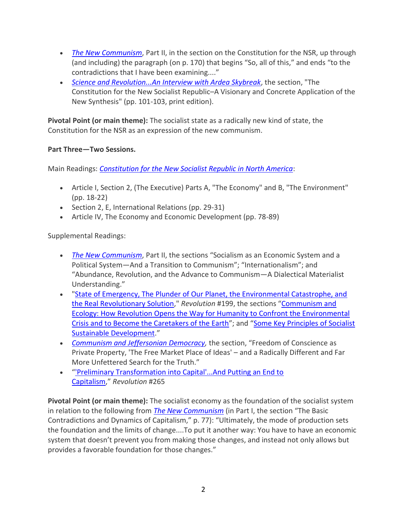- *[The New Communism](http://thebobavakianinstitute.org/wp-content/uploads/2017/08/bob-avakian_the-new-commmunism.pdf)*, Part II, in the section on the Constitution for the NSR, up through (and including) the paragraph (on p. 170) that begins "So, all of this," and ends "to the contradictions that I have been examining...."
- *[Science and Revolution...An Interview with Ardea Skybreak](http://thebobavakianinstitute.org/wp-content/uploads/2016/02/Ardea-Skybreak-2015-Interview-en.pdf)*, the section, "The Constitution for the New Socialist Republic–A Visionary and Concrete Application of the New Synthesis" (pp. 101-103, print edition).

**Pivotal Point (or main theme):** The socialist state as a radically new kind of state, the Constitution for the NSR as an expression of the new communism.

## **Part Three—Two Sessions.**

Main Readings: *[Constitution for the New Socialist Republic in North America](http://thebobavakianinstitute.org/wp-content/uploads/2017/08/SocialistConstitution-en.pdf)*:

- Article I, Section 2, (The Executive) Parts A, "The Economy" and B, "The Environment" (pp. 18-22)
- Section 2, E, International Relations (pp. 29-31)
- Article IV, The Economy and Economic Development (pp. 78-89)

Supplemental Readings:

- *[The New Communism](http://thebobavakianinstitute.org/wp-content/uploads/2017/08/bob-avakian_the-new-commmunism.pdf)*, Part II, the sections "Socialism as an Economic System and a Political System—And a Transition to Communism"; "Internationalism"; and "Abundance, Revolution, and the Advance to Communism—A Dialectical Materialist Understanding."
- ["State of Emergency, The Plunder of Our Planet, the Environmental Catastrophe, and](http://revcom.us/environment/index.html)  [the Real Revolutionary Solution,](http://revcom.us/environment/index.html)" *Revolution* #199, the sections "[Communism and](http://revcom.us/a/199/socialism-en.html)  [Ecology: How Revolution Opens the Way for Humanity to Confront the Environmental](http://revcom.us/a/199/socialism-en.html)  [Crisis and to Become the Caretakers of the Earth](http://revcom.us/a/199/socialism-en.html)"; and "[Some Key Principles of Socialist](http://revcom.us/a/199/socialist_principles-en.html)  [Sustainable Development](http://revcom.us/a/199/socialist_principles-en.html)."
- *[Communism and Jeffersonian Democracy,](http://revcom.us/Comm_JeffDem/Jeffersonian_Democracy.html)* the section, "Freedom of Conscience as Private Property, 'The Free Market Place of Ideas' – and a Radically Different and Far More Unfettered Search for the Truth."
- "['Preliminary Transformation into Capital'...And Putting an End to](http://revcom.us/a/265/avakian-preliminary_transformation_into_capital-en.html)  [Capitalism,](http://revcom.us/a/265/avakian-preliminary_transformation_into_capital-en.html)" *Revolution* #265

**Pivotal Point (or main theme):** The socialist economy as the foundation of the socialist system in relation to the following from *[The New Communism](http://thebobavakianinstitute.org/wp-content/uploads/2017/08/bob-avakian_the-new-commmunism.pdf)* (in Part I, the section "The Basic Contradictions and Dynamics of Capitalism," p. 77): "Ultimately, the mode of production sets the foundation and the limits of change....To put it another way: You have to have an economic system that doesn't prevent you from making those changes, and instead not only allows but provides a favorable foundation for those changes."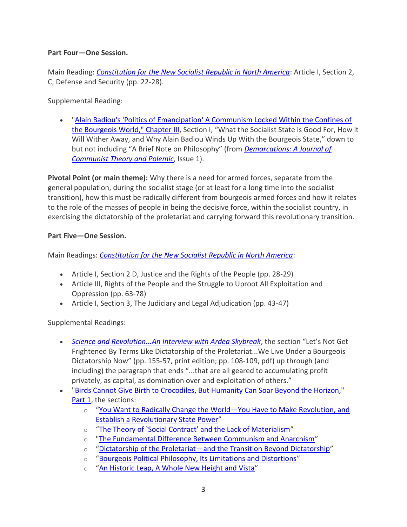#### **Part Four—One Session.**

Main Reading: *[Constitution for the New Socialist Republic in North America](http://thebobavakianinstitute.org/wp-content/uploads/2017/08/SocialistConstitution-en.pdf)*: Article I, Section 2, C, Defense and Security (pp. 22-28).

Supplemental Reading:

• ["Alain Badiou's 'Politics of Emancipation' A Communism Locked Within the Confines of](http://demarcations-journal.org/issue01/demarcations_badiou.html#016)  [the Bourgeois World," Chapter III](http://demarcations-journal.org/issue01/demarcations_badiou.html#016), Section I, "What the Socialist State is Good For, How it Will Wither Away, and Why Alain Badiou Winds Up With the Bourgeois State," down to but not including "A Brief Note on Philosophy" (from *[Demarcations: A Journal of](http://demarcations-journal.org/)  [Communist Theory and](http://demarcations-journal.org/) Polemic*, Issue 1).

**Pivotal Point (or main theme):** Why there is a need for armed forces, separate from the general population, during the socialist stage (or at least for a long time into the socialist transition), how this must be radically different from bourgeois armed forces and how it relates to the role of the masses of people in being the decisive force, within the socialist country, in exercising the dictatorship of the proletariat and carrying forward this revolutionary transition.

## **Part Five—One Session.**

Main Readings: *[Constitution for the New Socialist Republic in North America](http://thebobavakianinstitute.org/wp-content/uploads/2017/08/SocialistConstitution-en.pdf)*:

- Article I, Section 2 D, Justice and the Rights of the People (pp. 28-29)
- Article III, Rights of the People and the Struggle to Uproot All Exploitation and Oppression (pp. 63-78)
- Article I, Section 3, The Judiciary and Legal Adjudication (pp. 43-47)

Supplemental Readings:

- *[Science and Revolution...An Interview with Ardea Skybreak](http://thebobavakianinstitute.org/wp-content/uploads/2016/02/Ardea-Skybreak-2015-Interview-en.pdf)*, the section "Let's Not Get Frightened By Terms Like Dictatorship of the Proletariat...We Live Under a Bourgeois Dictatorship Now" (pp. 155-57, print edition; pp. 108-109, pdf) up through (and including) the paragraph that ends "...that are all geared to accumulating profit privately, as capital, as domination over and exploitation of others."
- ["Birds Cannot Give Birth to Crocodiles, But Humanity Can Soar Beyond the Horizon,"](http://revcom.us/avakian/birds/birds01-en.html)  [Part 1,](http://revcom.us/avakian/birds/birds01-en.html) the sections:
	- o "[You Want to Radically Change the World](http://revcom.us/avakian/birds/birds01-en.html#toc08)—You Have to Make Revolution, and [Establish a Revolutionary State Power](http://revcom.us/avakian/birds/birds01-en.html#toc08)"
	- o ["The Theory of `Social Contract' and the Lack of Materialism"](http://revcom.us/avakian/birds/birds01-en.html#toc13)
	- o ["The Fundamental Difference Between Communism and Anarchism](http://revcom.us/avakian/birds/birds01-en.html#toc15)"
	- o "Dictatorship of the Proletariat—[and the Transition Beyond Dictatorship](http://revcom.us/avakian/birds/birds01-en.html#toc16)"
	- o "[Bourgeois Political Philosophy, Its Limitations and Distortions](http://revcom.us/avakian/birds/birds01-en.html#toc23)"
	- o "An Historic Leap, A [Whole New Height and Vista](http://revcom.us/avakian/birds/birds01-en.html#toc27)"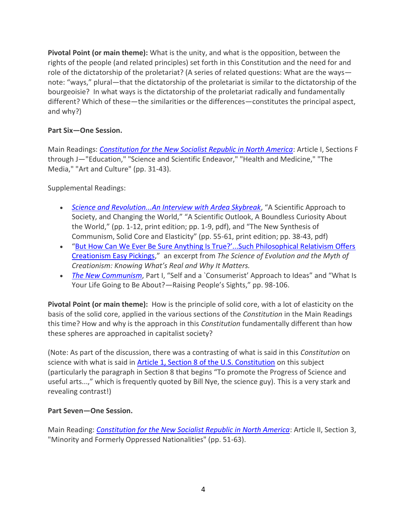**Pivotal Point (or main theme):** What is the unity, and what is the opposition, between the rights of the people (and related principles) set forth in this Constitution and the need for and role of the dictatorship of the proletariat? (A series of related questions: What are the ways note: "ways," plural—that the dictatorship of the proletariat is similar to the dictatorship of the bourgeoisie? In what ways is the dictatorship of the proletariat radically and fundamentally different? Which of these—the similarities or the differences—constitutes the principal aspect, and why?)

# **Part Six—One Session.**

Main Readings: *[Constitution for the New Socialist Republic in North America](http://thebobavakianinstitute.org/wp-content/uploads/2017/08/SocialistConstitution-en.pdf)*: Article I, Sections F through J—"Education," "Science and Scientific Endeavor," "Health and Medicine," "The Media," "Art and Culture" (pp. 31-43).

Supplemental Readings:

- *[Science and Revolution...An Interview with Ardea Skybreak](http://thebobavakianinstitute.org/wp-content/uploads/2016/02/Ardea-Skybreak-2015-Interview-en.pdf)*, "A Scientific Approach to Society, and Changing the World," "A Scientific Outlook, A Boundless Curiosity About the World," (pp. 1-12, print edition; pp. 1-9, pdf), and "The New Synthesis of Communism, Solid Core and Elasticity" (pp. 55-61, print edition; pp. 38-43, pdf)
- ["But How Can We Ever Be Sure Anything Is True?'...Such Philosophical Relativism Offers](http://revcom.us/a/330/but-how-can-we-ever-be-sure-anything-is-true-en.html)  [Creationism Easy Pickings](http://revcom.us/a/330/but-how-can-we-ever-be-sure-anything-is-true-en.html)," an excerpt from *The Science of Evolution and the Myth of Creationism: Knowing What's Real and Why It Matters.*
- *[The New Communism](http://thebobavakianinstitute.org/wp-content/uploads/2017/08/bob-avakian_the-new-commmunism.pdf)*, Part I, "Self and a `Consumerist' Approach to Ideas" and "What Is Your Life Going to Be About?—Raising People's Sights," pp. 98-106.

**Pivotal Point (or main theme):** How is the principle of solid core, with a lot of elasticity on the basis of the solid core, applied in the various sections of the *Constitution* in the Main Readings this time? How and why is the approach in this *Constitution* fundamentally different than how these spheres are approached in capitalist society?

(Note: As part of the discussion, there was a contrasting of what is said in this *Constitution* on science with what is said in [Article 1, Section 8 of the U.S. Constitution](https://www.usconstitution.net/xconst_A1Sec8.html) on this subject (particularly the paragraph in Section 8 that begins "To promote the Progress of Science and useful arts...," which is frequently quoted by Bill Nye, the science guy). This is a very stark and revealing contrast!)

#### **Part Seven—One Session.**

Main Reading: *[Constitution for the New Socialist Republic in North America](http://thebobavakianinstitute.org/wp-content/uploads/2017/08/SocialistConstitution-en.pdf)*: Article II, Section 3, "Minority and Formerly Oppressed Nationalities" (pp. 51-63).